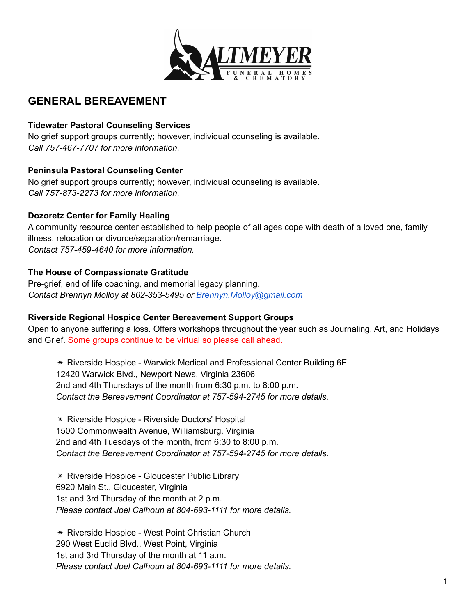

## **GENERAL BEREAVEMENT**

#### **Tidewater Pastoral Counseling Services**

No grief support groups currently; however, individual counseling is available. *Call 757-467-7707 for more information.*

#### **Peninsula Pastoral Counseling Center**

No grief support groups currently; however, individual counseling is available. *Call 757-873-2273 for more information.*

#### **Dozoretz Center for Family Healing**

A community resource center established to help people of all ages cope with death of a loved one, family illness, relocation or divorce/separation/remarriage. *Contact 757-459-4640 for more information.*

#### **The House of Compassionate Gratitude**

Pre-grief, end of life coaching, and memorial legacy planning. *Contact Brennyn Molloy at 802-353-5495 or [Brennyn.Molloy@gmail.com](mailto:Brennym.Molloy@gmail.com)*

#### **Riverside Regional Hospice Center Bereavement Support Groups**

Open to anyone suffering a loss. Offers workshops throughout the year such as Journaling, Art, and Holidays and Grief. Some groups continue to be virtual so please call ahead.

✴ Riverside Hospice - Warwick Medical and Professional Center Building 6E 12420 Warwick Blvd., Newport News, Virginia 23606 2nd and 4th Thursdays of the month from 6:30 p.m. to 8:00 p.m. *Contact the Bereavement Coordinator at 757-594-2745 for more details.*

✴ Riverside Hospice - Riverside Doctors' Hospital 1500 Commonwealth Avenue, Williamsburg, Virginia 2nd and 4th Tuesdays of the month, from 6:30 to 8:00 p.m. *Contact the Bereavement Coordinator at 757-594-2745 for more details.*

✴ Riverside Hospice - Gloucester Public Library 6920 Main St., Gloucester, Virginia 1st and 3rd Thursday of the month at 2 p.m. *Please contact Joel Calhoun at 804-693-1111 for more details.*

✴ Riverside Hospice - West Point Christian Church 290 West Euclid Blvd., West Point, Virginia 1st and 3rd Thursday of the month at 11 a.m. *Please contact Joel Calhoun at 804-693-1111 for more details.*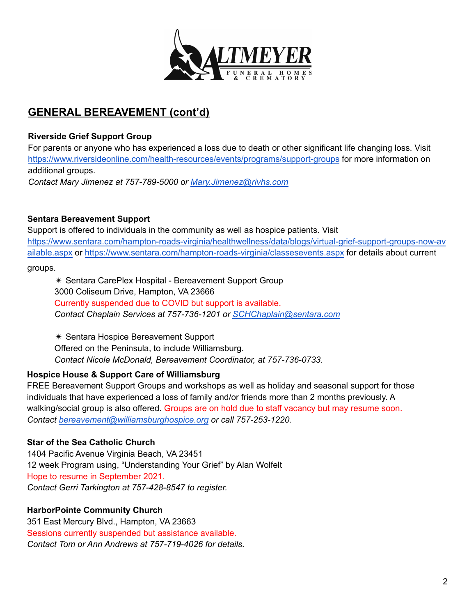

### **Riverside Grief Support Group**

For parents or anyone who has experienced a loss due to death or other significant life changing loss. Visit <https://www.riversideonline.com/health-resources/events/programs/support-groups> for more information on additional groups.

*Contact Mary Jimenez at 757-789-5000 or [Mary.Jimenez@rivhs.com](mailto:Mary.Jimenez@rivhs.com)*

## **Sentara Bereavement Support**

Support is offered to individuals in the community as well as hospice patients. Visit [https://www.sentara.com/hampton-roads-virginia/healthwellness/data/blogs/virtual-grief-support-groups-now-av](https://www.sentara.com/hampton-roads-virginia/healthwellness/data/blogs/virtual-grief-support-groups-now-available.aspx) [ailable.aspx](https://www.sentara.com/hampton-roads-virginia/healthwellness/data/blogs/virtual-grief-support-groups-now-available.aspx) or <https://www.sentara.com/hampton-roads-virginia/classesevents.aspx> for details about current

#### groups.

✴ Sentara CarePlex Hospital - Bereavement Support Group 3000 Coliseum Drive, Hampton, VA 23666 Currently suspended due to COVID but support is available. *Contact Chaplain Services at 757-736-1201 or [SCHChaplain@sentara.com](mailto:SCHChaplain@sentara.com)*

✴ Sentara Hospice Bereavement Support Offered on the Peninsula, to include Williamsburg. *Contact Nicole McDonald, Bereavement Coordinator, at 757-736-0733.*

## **Hospice House & Support Care of Williamsburg**

FREE Bereavement Support Groups and workshops as well as holiday and seasonal support for those individuals that have experienced a loss of family and/or friends more than 2 months previously. A walking/social group is also offered. Groups are on hold due to staff vacancy but may resume soon. *Contact bereavement@williamsburghospice.org or call 757-253-1220.*

## **Star of the Sea Catholic Church**

1404 Pacific Avenue Virginia Beach, VA 23451 12 week Program using, "Understanding Your Grief" by Alan Wolfelt Hope to resume in September 2021. *Contact Gerri Tarkington at 757-428-8547 to register.*

## **HarborPointe Community Church**

351 East Mercury Blvd., Hampton, VA 23663 Sessions currently suspended but assistance available. *Contact Tom or Ann Andrews at 757-719-4026 for details.*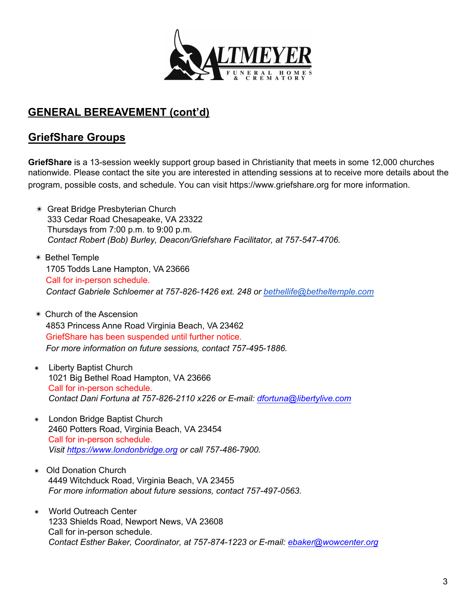

## **GriefShare Groups**

**GriefShare** is a 13-session weekly support group based in Christianity that meets in some 12,000 churches nationwide. Please contact the site you are interested in attending sessions at to receive more details about the program, possible costs, and schedule. You can visit https://www.griefshare.org for more information.

- ✴ Great Bridge Presbyterian Church 333 Cedar Road Chesapeake, VA 23322 Thursdays from 7:00 p.m. to 9:00 p.m. *Contact Robert (Bob) Burley, Deacon/Griefshare Facilitator, at 757-547-4706.*
- ✴ Bethel Temple 1705 Todds Lane Hampton, VA 23666 Call for in-person schedule. *Contact Gabriele Schloemer at 757-826-1426 ext. 248 or [bethellife@betheltemple.com](mailto:bethellife@betheltemple.com)*
- ✴ Church of the Ascension 4853 Princess Anne Road Virginia Beach, VA 23462 GriefShare has been suspended until further notice. *For more information on future sessions, contact 757-495-1886.*
- ✴ Liberty Baptist Church 1021 Big Bethel Road Hampton, VA 23666 Call for in-person schedule. *Contact Dani Fortuna at 757-826-2110 x226 or E-mail: dfortuna@libertylive.com*
- ✴ London Bridge Baptist Church 2460 Potters Road, Virginia Beach, VA 23454 Call for in-person schedule. *Visit https://www.londonbridge.org or call 757-486-7900.*
- *✴* Old Donation Church 4449 Witchduck Road, Virginia Beach, VA 23455 *For more information about future sessions, contact 757-497-0563.*
- ✴ World Outreach Center 1233 Shields Road, Newport News, VA 23608 Call for in-person schedule.  *Contact Esther Baker, Coordinator, at 757-874-1223 or E-mail: ebaker@wowcenter.org*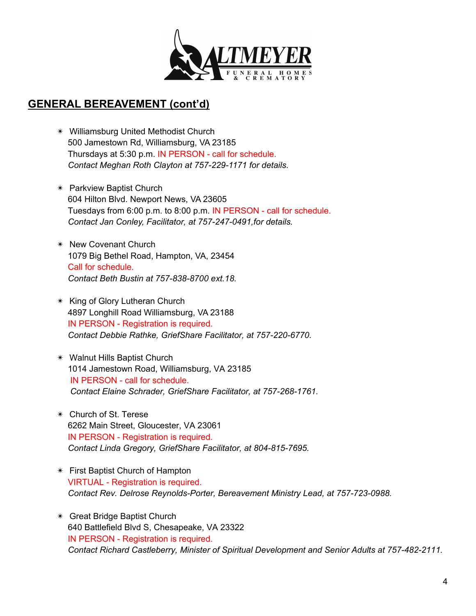

- ✴ Williamsburg United Methodist Church 500 Jamestown Rd, Williamsburg, VA 23185 Thursdays at 5:30 p.m. IN PERSON - call for schedule. *Contact Meghan Roth Clayton at 757-229-1171 for details.*
- ✴ Parkview Baptist Church 604 Hilton Blvd. Newport News, VA 23605 Tuesdays from 6:00 p.m. to 8:00 p.m. IN PERSON - call for schedule. *Contact Jan Conley, Facilitator, at 757-247-0491,for details.*
- ✴ New Covenant Church 1079 Big Bethel Road, Hampton, VA, 23454 Call for schedule. *Contact Beth Bustin at 757-838-8700 ext.18.*
- ✴ King of Glory Lutheran Church 4897 Longhill Road Williamsburg, VA 23188 IN PERSON - Registration is required. *Contact Debbie Rathke, GriefShare Facilitator, at 757-220-6770.*
- ✴ Walnut Hills Baptist Church 1014 Jamestown Road, Williamsburg, VA 23185 IN PERSON - call for schedule. *Contact Elaine Schrader, GriefShare Facilitator, at 757-268-1761.*
- ✴ Church of St. Terese 6262 Main Street, Gloucester, VA 23061 IN PERSON - Registration is required. *Contact Linda Gregory, GriefShare Facilitator, at 804-815-7695.*
- ✴ First Baptist Church of Hampton VIRTUAL - Registration is required. *Contact Rev. Delrose Reynolds-Porter, Bereavement Ministry Lead, at 757-723-0988.*
- ✴ Great Bridge Baptist Church 640 Battlefield Blvd S, Chesapeake, VA 23322 IN PERSON - Registration is required. *Contact Richard Castleberry, Minister of Spiritual Development and Senior Adults at 757-482-2111.*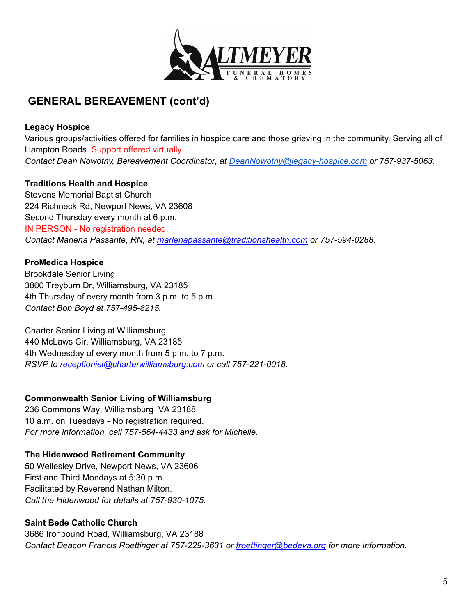

## **Legacy Hospice**

Various groups/activities offered for families in hospice care and those grieving in the community. Serving all of Hampton Roads. Support offered virtually. *Contact Dean Nowotny, Bereavement Coordinator, at [DeanNowotny@legacy-hospice.com](mailto:DeanNowotny@legacy-hospice.com) or 757-937-5063.*

#### **Traditions Health and Hospice**

Stevens Memorial Baptist Church 224 Richneck Rd, Newport News, VA 23608 Second Thursday every month at 6 p.m. IN PERSON - No registration needed. *Contact Marlena Passante, RN, at marlenapassante@traditionshealth.com or 757-594-0288.*

## **ProMedica Hospice**

Brookdale Senior Living 3800 Treyburn Dr, Williamsburg, VA 23185 4th Thursday of every month from 3 p.m. to 5 p.m. *Contact Bob Boyd at 757-495-8215.*

Charter Senior Living at Williamsburg 440 McLaws Cir, Williamsburg, VA 23185 4th Wednesday of every month from 5 p.m. to 7 p.m. *RSVP to receptionist@charterwilliamsburg.com or call 757-221-0018.*

#### **Commonwealth Senior Living of Williamsburg**

236 Commons Way, Williamsburg VA 23188 10 a.m. on Tuesdays - No registration required. *For more information, call 757-564-4433 and ask for Michelle.*

#### **The Hidenwood Retirement Community**

50 Wellesley Drive, Newport News, VA 23606 First and Third Mondays at 5:30 p.m. Facilitated by Reverend Nathan Milton. *Call the Hidenwood for details at 757-930-1075.*

## **Saint Bede Catholic Church**

3686 Ironbound Road, Williamsburg, VA 23188 *Contact Deacon Francis Roettinger at 757-229-3631 or froettinger@bedeva.org for more information.*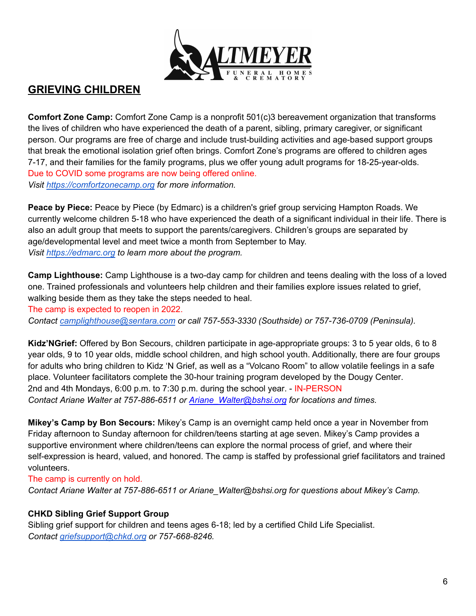

## **GRIEVING CHILDREN**

**Comfort Zone Camp:** Comfort Zone Camp is a nonprofit 501(c)3 bereavement organization that transforms the lives of children who have experienced the death of a parent, sibling, primary caregiver, or significant person. Our programs are free of charge and include trust-building activities and age-based support groups that break the emotional isolation grief often brings. Comfort Zone's programs are offered to children ages 7-17, and their families for the family programs, plus we offer young adult programs for 18-25-year-olds. Due to COVID some programs are now being offered online. *Visit <https://comfortzonecamp.org> for more information.*

**Peace by Piece:** Peace by Piece (by Edmarc) is a children's grief group servicing Hampton Roads. We currently welcome children 5-18 who have experienced the death of a significant individual in their life. There is also an adult group that meets to support the parents/caregivers. Children's groups are separated by age/developmental level and meet twice a month from September to May. *Visit <https://edmarc.org> to learn more about the program.*

**Camp Lighthouse:** Camp Lighthouse is a two-day camp for children and teens dealing with the loss of a loved one. Trained professionals and volunteers help children and their families explore issues related to grief, walking beside them as they take the steps needed to heal. The camp is expected to reopen in 2022. *Contact [camplighthouse@sentara.com](mailto:camplighthouse@sentara.com) or call 757-553-3330 (Southside) or 757-736-0709 (Peninsula).*

**Kidz'NGrief:** Offered by Bon Secours, children participate in age-appropriate groups: 3 to 5 year olds, 6 to 8 year olds, 9 to 10 year olds, middle school children, and high school youth. Additionally, there are four groups for adults who bring children to Kidz 'N Grief, as well as a "Volcano Room" to allow volatile feelings in a safe place. Volunteer facilitators complete the 30-hour training program developed by the Dougy Center. 2nd and 4th Mondays, 6:00 p.m. to 7:30 p.m. during the school year. - IN-PERSON *Contact Ariane Walter at 757-886-6511 or Ariane\_Walter@bshsi.org for locations and times.*

**Mikey's Camp by Bon Secours:** Mikey's Camp is an overnight camp held once a year in November from Friday afternoon to Sunday afternoon for children/teens starting at age seven. Mikey's Camp provides a supportive environment where children/teens can explore the normal process of grief, and where their self-expression is heard, valued, and honored. The camp is staffed by professional grief facilitators and trained volunteers.

The camp is currently on hold.

*Contact Ariane Walter at 757-886-6511 or Ariane\_Walter@bshsi.org for questions about Mikey's Camp.*

#### **CHKD Sibling Grief Support Group**

Sibling grief support for children and teens ages 6-18; led by a certified Child Life Specialist. *Contact griefsupport@chkd.org or 757-668-8246.*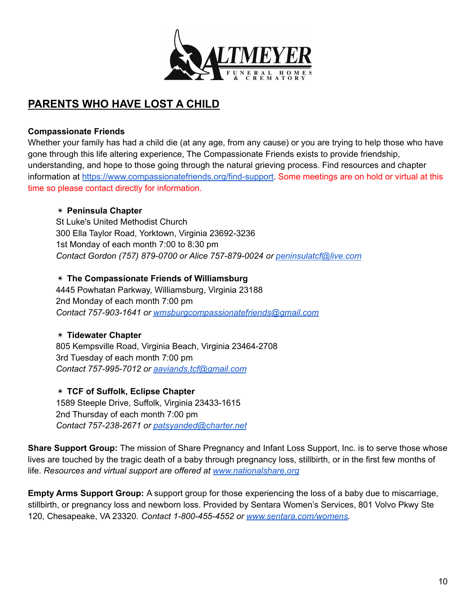

## **PARENTS WHO HAVE LOST A CHILD**

#### **Compassionate Friends**

Whether your family has had a child die (at any age, from any cause) or you are trying to help those who have gone through this life altering experience, The Compassionate Friends exists to provide friendship, understanding, and hope to those going through the natural grieving process. Find resources and chapter information at [https://www.compassionatefriends.org/find-support.](https://www.compassionatefriends.org/find-support) Some meetings are on hold or virtual at this time so please contact directly for information.

#### ✴ **Peninsula Chapter**

St Luke's United Methodist Church 300 Ella Taylor Road, Yorktown, Virginia 23692-3236 1st Monday of each month 7:00 to 8:30 pm *Contact Gordon (757) 879-0700 or Alice 757-879-0024 or [peninsulatcf@live.com](mailto:peninsulatcf@live.com)*

#### ✴ **The Compassionate Friends of Williamsburg**

4445 Powhatan Parkway, Williamsburg, Virginia 23188 2nd Monday of each month 7:00 pm *Contact 757-903-1641 or [wmsburgcompassionatefriends@gmail.com](mailto:wmsburgcompassionatefriends@gmail.com)*

#### ✴ **Tidewater Chapter**

805 Kempsville Road, Virginia Beach, Virginia 23464-2708 3rd Tuesday of each month 7:00 pm *Contact 757-995-7012 or [aaviands.tcf@gmail.com](mailto:aaviands.tcf@gmail.com)*

✴ **TCF of Suffolk, Eclipse Chapter** 1589 Steeple Drive, Suffolk, Virginia 23433-1615 2nd Thursday of each month 7:00 pm *Contact 757-238-2671 or [patsyanded@charter.net](mailto:patsyanded@charter.net)*

**Share Support Group:** The mission of Share Pregnancy and Infant Loss Support, Inc. is to serve those whose lives are touched by the tragic death of a baby through pregnancy loss, stillbirth, or in the first few months of life. *Resources and virtual support are offered at [www.nationalshare.org](http://www.nationalshare.org)*

**Empty Arms Support Group:** A support group for those experiencing the loss of a baby due to miscarriage, stillbirth, or pregnancy loss and newborn loss. Provided by Sentara Women's Services, 801 Volvo Pkwy Ste 120, Chesapeake, VA 23320. *Contact 1-800-455-4552 or [www.sentara.com/womens.](http://www.sentara.com/womens)*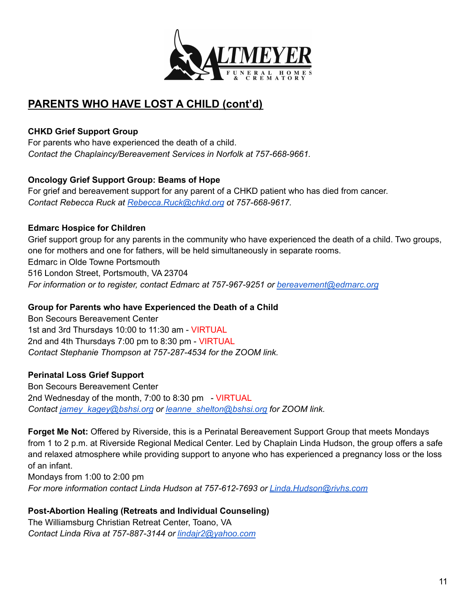

## **PARENTS WHO HAVE LOST A CHILD (cont'd)**

## **CHKD Grief Support Group**

For parents who have experienced the death of a child. *Contact the Chaplaincy/Bereavement Services in Norfolk at 757-668-9661.*

## **Oncology Grief Support Group: Beams of Hope**

For grief and bereavement support for any parent of a CHKD patient who has died from cancer. *Contact Rebecca Ruck at [Rebecca.Ruck@chkd.org](mailto:Rebecca.Ruck@chkd.org) ot 757-668-9617.*

## **Edmarc Hospice for Children**

Grief support group for any parents in the community who have experienced the death of a child. Two groups, one for mothers and one for fathers, will be held simultaneously in separate rooms. Edmarc in Olde Towne Portsmouth 516 London Street, Portsmouth, VA 23704 *For information or to register, contact Edmarc at 757-967-9251 or [bereavement@edmarc.org](mailto:bereavement@edmarc.org)*

## **Group for Parents who have Experienced the Death of a Child**

Bon Secours Bereavement Center 1st and 3rd Thursdays 10:00 to 11:30 am - VIRTUAL 2nd and 4th Thursdays 7:00 pm to 8:30 pm - VIRTUAL *Contact Stephanie Thompson at 757-287-4534 for the ZOOM link.*

## **Perinatal Loss Grief Support**

Bon Secours Bereavement Center 2nd Wednesday of the month, 7:00 to 8:30 pm - VIRTUAL *Contact [jamey\\_kagey@bshsi.org](mailto:jamey_kagey@bshsi.org) or [leanne\\_shelton@bshsi.org](mailto:leanne_shelton@bshsi.org) for ZOOM link.*

**Forget Me Not:** Offered by Riverside, this is a Perinatal Bereavement Support Group that meets Mondays from 1 to 2 p.m. at Riverside Regional Medical Center. Led by Chaplain Linda Hudson, the group offers a safe and relaxed atmosphere while providing support to anyone who has experienced a pregnancy loss or the loss of an infant.

Mondays from 1:00 to 2:00 pm *For more information contact Linda Hudson at 757-612-7693 or [Linda.Hudson@rivhs.com](mailto:Linda.Hudson@rivhs.com)*

#### **Post-Abortion Healing (Retreats and Individual Counseling)** The Williamsburg Christian Retreat Center, Toano, VA *Contact Linda Riva at 757-887-3144 or [lindajr2@yahoo.com](mailto:lindajr2@yahoo.com)*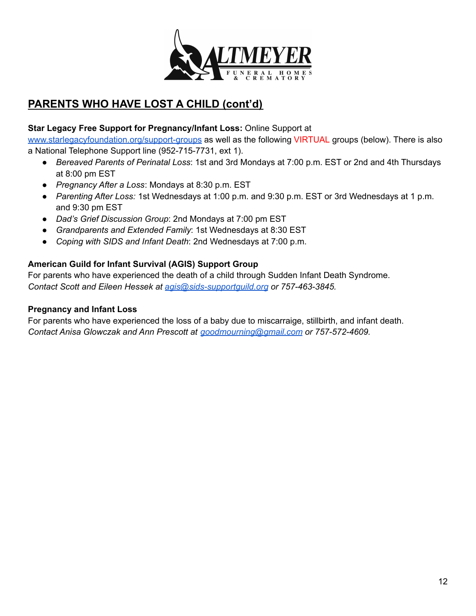

# **PARENTS WHO HAVE LOST A CHILD (cont'd)**

## **Star Legacy Free Support for Pregnancy/Infant Loss:** Online Support at

[www.starlegacyfoundation.org/support-groups](http://www.starlegacyfoundation.org/support-groups) as well as the following VIRTUAL groups (below). There is also a National Telephone Support line (952-715-7731, ext 1).

- *Bereaved Parents of Perinatal Loss*: 1st and 3rd Mondays at 7:00 p.m. EST or 2nd and 4th Thursdays at 8:00 pm EST
- *Pregnancy After a Loss*: Mondays at 8:30 p.m. EST
- *Parenting After Loss:* 1st Wednesdays at 1:00 p.m. and 9:30 p.m. EST or 3rd Wednesdays at 1 p.m. and 9:30 pm EST
- *Dad's Grief Discussion Group*: 2nd Mondays at 7:00 pm EST
- *Grandparents and Extended Family*: 1st Wednesdays at 8:30 EST
- *Coping with SIDS and Infant Death*: 2nd Wednesdays at 7:00 p.m.

## **American Guild for Infant Survival (AGIS) Support Group**

For parents who have experienced the death of a child through Sudden Infant Death Syndrome. *Contact Scott and Eileen Hessek at [agis@sids-supportguild.org](mailto:agis@sids-supportguild.org) or 757-463-3845.*

#### **Pregnancy and Infant Loss**

For parents who have experienced the loss of a baby due to miscarraige, stillbirth, and infant death. *Contact Anisa Glowczak and Ann Prescott at [goodmourning@gmail.com](mailto:goodmourning@gmail.com) or 757-572-4609.*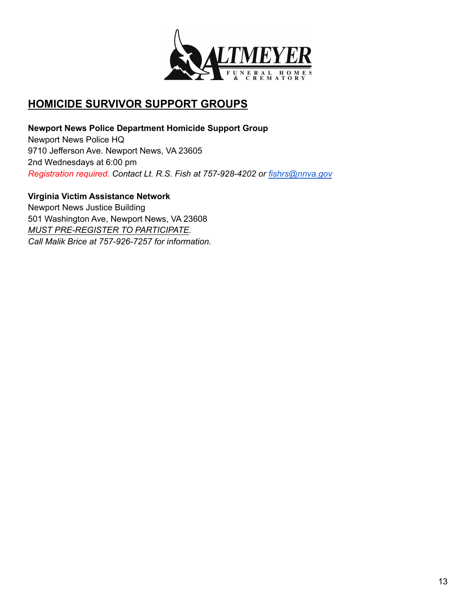

## **HOMICIDE SURVIVOR SUPPORT GROUPS**

**Newport News Police Department Homicide Support Group** Newport News Police HQ 9710 Jefferson Ave. Newport News, VA 23605 2nd Wednesdays at 6:00 pm *Registration required. Contact Lt. R.S. Fish at 757-928-4202 or [fishrs@nnva.gov](mailto:fishrs@nnva.gov)*

**Virginia Victim Assistance Network** Newport News Justice Building 501 Washington Ave, Newport News, VA 23608 *MUST PRE-REGISTER TO PARTICIPATE. Call Malik Brice at 757-926-7257 for information.*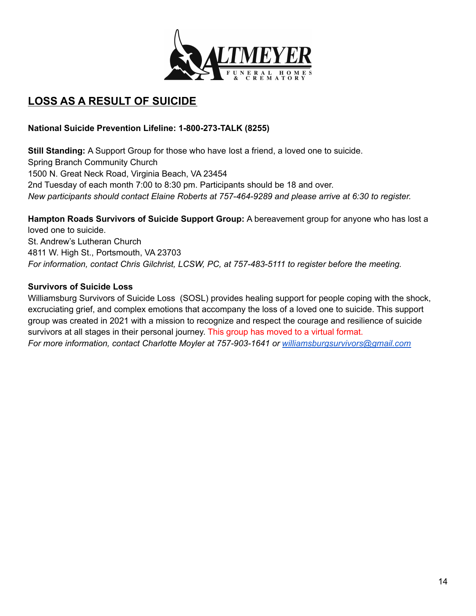

# **LOSS AS A RESULT OF SUICIDE**

## **National Suicide Prevention Lifeline: 1-800-273-TALK (8255)**

**Still Standing:** A Support Group for those who have lost a friend, a loved one to suicide. Spring Branch Community Church 1500 N. Great Neck Road, Virginia Beach, VA 23454 2nd Tuesday of each month 7:00 to 8:30 pm. Participants should be 18 and over. *New participants should contact Elaine Roberts at 757-464-9289 and please arrive at 6:30 to register.*

**Hampton Roads Survivors of Suicide Support Group:** A bereavement group for anyone who has lost a loved one to suicide. St. Andrew's Lutheran Church 4811 W. High St., Portsmouth, VA 23703 *For information, contact Chris Gilchrist, LCSW, PC, at 757-483-5111 to register before the meeting.*

## **Survivors of Suicide Loss**

Williamsburg Survivors of Suicide Loss (SOSL) provides healing support for people coping with the shock, excruciating grief, and complex emotions that accompany the loss of a loved one to suicide. This support group was created in 2021 with a mission to recognize and respect the courage and resilience of suicide survivors at all stages in their personal journey. This group has moved to a virtual format. *For more information, contact Charlotte Moyler at 757-903-1641 or [williamsburgsurvivors@gmail.com](mailto:williamsburgsurvivors@gmail.com)*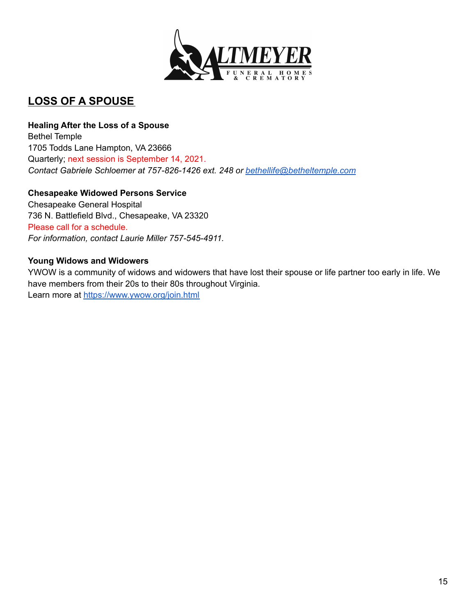

# **LOSS OF A SPOUSE**

#### **Healing After the Loss of a Spouse**

Bethel Temple 1705 Todds Lane Hampton, VA 23666 Quarterly; next session is September 14, 2021. *Contact Gabriele Schloemer at 757-826-1426 ext. 248 or [bethellife@betheltemple.com](mailto:bethellife@betheltemple.com)*

## **Chesapeake Widowed Persons Service**

Chesapeake General Hospital 736 N. Battlefield Blvd., Chesapeake, VA 23320 Please call for a schedule. *For information, contact Laurie Miller 757-545-4911.*

#### **Young Widows and Widowers**

YWOW is a community of widows and widowers that have lost their spouse or life partner too early in life. We have members from their 20s to their 80s throughout Virginia. Learn more at <https://www.ywow.org/join.html>